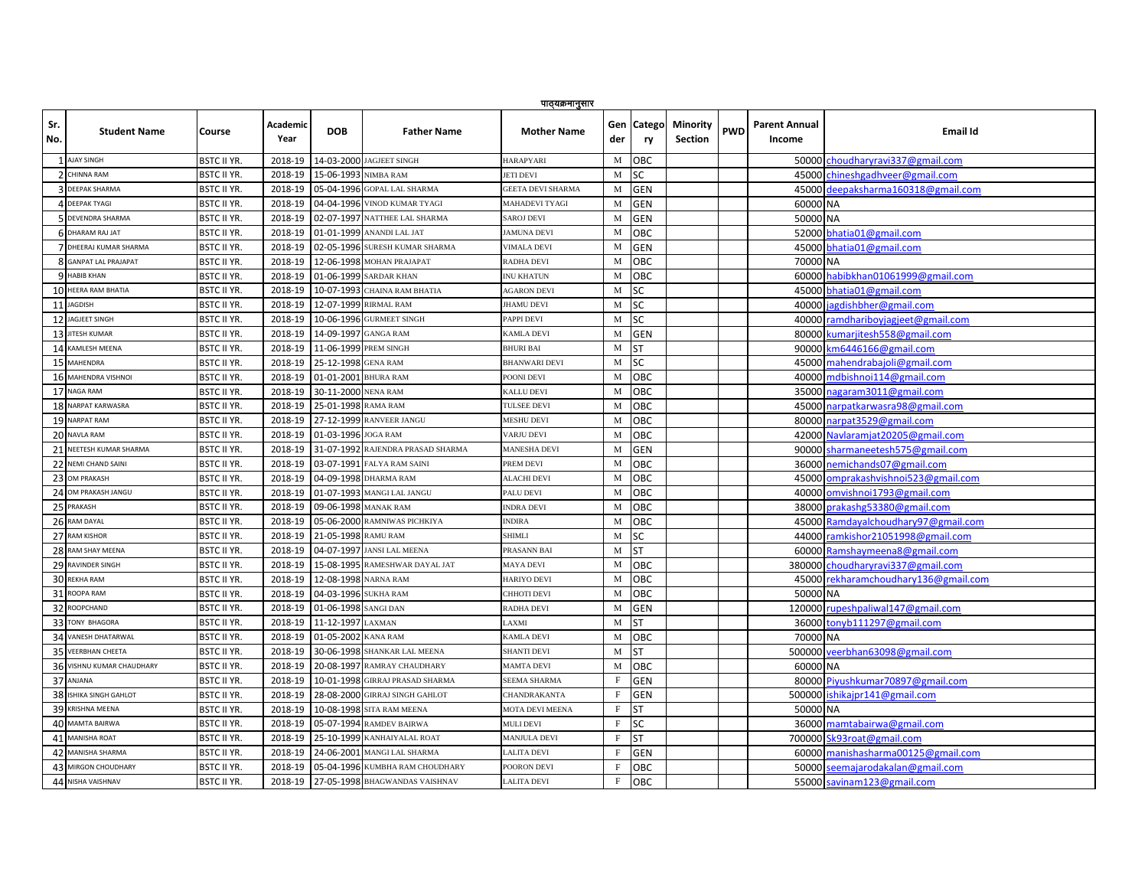|            | पाठ्यक्रमानुसार           |                    |                         |                      |                                   |                          |             |                  |                            |            |                                |                                      |
|------------|---------------------------|--------------------|-------------------------|----------------------|-----------------------------------|--------------------------|-------------|------------------|----------------------------|------------|--------------------------------|--------------------------------------|
| Sr.<br>No. | <b>Student Name</b>       | Course             | <b>Academic</b><br>Year | <b>DOB</b>           | <b>Father Name</b>                | <b>Mother Name</b>       | der         | Gen Catego<br>ry | Minority<br><b>Section</b> | <b>PWD</b> | <b>Parent Annual</b><br>Income | <b>Email Id</b>                      |
|            | 1 AJAY SINGH              | <b>BSTC II YR.</b> | 2018-19                 |                      | 14-03-2000 JAGJEET SINGH          | <b>HARAPYARI</b>         | М           | OBC              |                            |            |                                | 50000 choudharyravi337@gmail.com     |
|            | <b>7 CHINNA RAM</b>       | <b>BSTC II YR.</b> | 2018-19                 | 15-06-1993 NIMBA RAM |                                   | <b>JETI DEVI</b>         | M           | <b>SC</b>        |                            |            |                                | 45000 chineshgadhveer@gmail.com      |
|            | <b>DEEPAK SHARMA</b>      | <b>BSTC II YR</b>  | 2018-19                 |                      | 05-04-1996 GOPAL LAL SHARMA       | <b>GEETA DEVI SHARMA</b> | М           | <b>GEN</b>       |                            |            |                                | 45000 deepaksharma160318@gmail.com   |
|            | <b>4 DEEPAK TYAGI</b>     | <b>BSTC II YR.</b> | 2018-19                 |                      | 04-04-1996 VINOD KUMAR TYAGI      | MAHADEVI TYAGI           | $\mathbf M$ | <b>GEN</b>       |                            |            | 60000 NA                       |                                      |
|            | 5 DEVENDRA SHARMA         | <b>BSTC II YR.</b> | 2018-19                 |                      | 02-07-1997 NATTHEE LAL SHARMA     | <b>SAROJ DEVI</b>        | M           | <b>GEN</b>       |                            |            | 50000 NA                       |                                      |
|            | 6 DHARAM RAJ JAT          | <b>BSTC II YR.</b> | 2018-19                 |                      | 01-01-1999 ANANDI LAL JAT         | <b>JAMUNA DEVI</b>       | M           | OBC              |                            |            |                                | 52000 bhatia01@gmail.com             |
|            | 7 DHEERAJ KUMAR SHARMA    | BSTC II YR.        | 2018-19                 |                      | 02-05-1996 SURESH KUMAR SHARMA    | <b>VIMALA DEVI</b>       | M           | <b>GEN</b>       |                            |            |                                | 45000 bhatia01@gmail.com             |
|            | 8 GANPAT LAL PRAJAPAT     | BSTC II YR.        | 2018-19                 |                      | 12-06-1998 MOHAN PRAJAPAT         | RADHA DEVI               | M           | OBC              |                            |            | 70000 NA                       |                                      |
|            | <b>9 HABIB KHAN</b>       | <b>BSTC II YR.</b> | 2018-19                 |                      | 01-06-1999 SARDAR KHAN            | <b>INU KHATUN</b>        | M           | OBC              |                            |            |                                | 60000 habibkhan01061999@gmail.com    |
|            | 10 HEERA RAM BHATIA       | <b>BSTC II YR</b>  | 2018-19                 |                      | 10-07-1993 CHAINA RAM BHATIA      | <b>AGARON DEVI</b>       | M           | SC               |                            |            |                                | 45000 bhatia01@gmail.com             |
|            | 11 JAGDISH                | <b>BSTC II YR.</b> | 2018-19                 |                      | 12-07-1999 RIRMAL RAM             | <b>JHAMU DEVI</b>        | M           | SC               |                            |            |                                | 40000 jagdishbher@gmail.com          |
| 12         | <b>JAGJEET SINGH</b>      | BSTC II YR.        | 2018-19                 |                      | 10-06-1996 GURMEET SINGH          | PAPPI DEVI               | M           | SC               |                            |            |                                | 40000 ramdhariboyjagjeet@gmail.com   |
| 13         | <b>JITESH KUMAR</b>       | <b>BSTC II YR.</b> | 2018-19                 |                      | 14-09-1997 GANGA RAM              | <b>KAMLA DEVI</b>        | M           | <b>GEN</b>       |                            |            |                                | 80000 kumarjitesh558@gmail.com       |
|            | 14 KAMLESH MEENA          | <b>BSTC II YR.</b> | 2018-19                 |                      | 11-06-1999 PREM SINGH             | <b>BHURI BAI</b>         | M           | <b>ST</b>        |                            |            |                                | 90000 km6446166@gmail.com            |
|            | 15 MAHENDRA               | <b>BSTC II YR.</b> | 2018-19                 | 25-12-1998 GENA RAM  |                                   | <b>BHANWARI DEVI</b>     | M           | SC               |                            |            |                                | 45000 mahendrabajoli@gmail.com       |
|            | 16 MAHENDRA VISHNOI       | <b>BSTC II YR.</b> | 2018-19                 | 01-01-2001 BHURA RAM |                                   | POONI DEVI               | M           | OBC              |                            |            |                                | 40000 mdbishnoi114@gmail.com         |
|            | 17 NAGA RAM               | <b>BSTC II YR</b>  | 2018-19                 | 30-11-2000 NENA RAM  |                                   | <b>KALLU DEVI</b>        | M           | OBC              |                            |            |                                | 35000 nagaram3011@gmail.com          |
|            | 18 NARPAT KARWASRA        | <b>BSTC II YR</b>  | 2018-19                 | 25-01-1998 RAMA RAM  |                                   | <b>TULSEE DEVI</b>       | M           | <b>OBC</b>       |                            |            |                                | 45000 narpatkarwasra98@gmail.com     |
|            | 19 NARPAT RAM             | <b>BSTC II YR</b>  | 2018-19                 |                      | 27-12-1999 RANVEER JANGU          | <b>MESHU DEVI</b>        | M           | OBC              |                            |            |                                | 80000 narpat3529@gmail.com           |
|            | 20 NAVLA RAM              | BSTC II YR.        | 2018-19                 | 01-03-1996 JOGA RAM  |                                   | VARJU DEVI               | M           | OBC              |                            |            |                                | 42000 Navlaramjat20205@gmail.com     |
| 21         | NEETESH KUMAR SHARMA      | BSTC II YR.        | 2018-19                 |                      | 31-07-1992 RAJENDRA PRASAD SHARMA | <b>MANESHA DEVI</b>      | M           | <b>GEN</b>       |                            |            |                                | 90000 sharmaneetesh575@gmail.com     |
|            | 22 NEMI CHAND SAINI       | <b>BSTC II YR.</b> | 2018-19                 |                      | 03-07-1991 FALYA RAM SAINI        | PREM DEVI                | M           | OBC              |                            |            |                                | 36000 nemichands07@gmail.com         |
|            | 23 OM PRAKASH             | <b>BSTC II YR.</b> | 2018-19                 |                      | 04-09-1998 DHARMA RAM             | <b>ALACHI DEVI</b>       | M           | OBC              |                            |            |                                | 45000 omprakashvishnoi523@gmail.com  |
|            | 24 OM PRAKASH JANGU       | <b>BSTC II YR.</b> | 2018-19                 |                      | 01-07-1993 MANGI LAL JANGU        | PALU DEVI                | M           | OBC              |                            |            |                                | 40000 omvishnoi1793@gmail.com        |
|            | 25 PRAKASH                | <b>BSTC II YR</b>  | 2018-19                 |                      | 09-06-1998 MANAK RAM              | <b>INDRA DEVI</b>        | M           | OBC              |                            |            |                                | 38000 prakashg53380@gmail.com        |
|            | 26 RAM DAYAL              | <b>BSTC II YR.</b> | 2018-19                 |                      | 05-06-2000 RAMNIWAS PICHKIYA      | <b>INDIRA</b>            | M           | <b>OBC</b>       |                            |            |                                | 45000 Ramdayalchoudhary97@gmail.com  |
|            | 27 RAM KISHOR             | BSTC II YR.        | 2018-19                 | 21-05-1998 RAMU RAM  |                                   | <b>SHIMLI</b>            | M           | SC               |                            |            |                                | 44000 ramkishor21051998@gmail.com    |
|            | 28 RAM SHAY MEENA         | <b>BSTC II YR.</b> | 2018-19                 |                      | 04-07-1997 JANSI LAL MEENA        | PRASANN BAI              | M           | <b>ST</b>        |                            |            |                                | 60000 Ramshaymeena8@gmail.com        |
|            | 29 RAVINDER SINGH         | <b>BSTC II YR.</b> | 2018-19                 |                      | 15-08-1995 RAMESHWAR DAYAL JAT    | <b>MAYA DEVI</b>         | M           | OBC              |                            |            |                                | 380000 choudharyravi337@gmail.com    |
|            | 30 REKHA RAM              | <b>BSTC II YR.</b> | 2018-19                 |                      | 12-08-1998 NARNA RAM              | <b>HARIYO DEVI</b>       | M           | OBC              |                            |            |                                | 45000 rekharamchoudhary136@gmail.com |
| 31         | ROOPA RAM                 | <b>BSTC II YR.</b> | 2018-19                 | 04-03-1996 SUKHA RAM |                                   | CHHOTI DEVI              | M           | OBC              |                            |            | 50000 NA                       |                                      |
|            | 32 ROOPCHAND              | <b>BSTC II YR.</b> | 2018-19                 | 01-06-1998 SANGI DAN |                                   | <b>RADHA DEVI</b>        | $\mathbf M$ | <b>GEN</b>       |                            |            |                                | 120000 rupeshpaliwal147@gmail.com    |
| 33         | <b>TONY BHAGORA</b>       | <b>BSTC II YR</b>  | 2018-19                 | 11-12-1997 LAXMAN    |                                   | LAXMI                    | M           | SΤ               |                            |            |                                | 36000 tonyb111297@gmail.com          |
|            | 34 VANESH DHATARWAL       | <b>BSTC II YR.</b> | 2018-19                 | 01-05-2002 KANA RAM  |                                   | <b>KAMLA DEVI</b>        | $\mathbf M$ | OBC              |                            |            | 70000 NA                       |                                      |
| 35         | <b>VEERBHAN CHEETA</b>    | <b>BSTC II YR.</b> | 2018-19                 |                      | 30-06-1998 SHANKAR LAL MEENA      | <b>SHANTI DEVI</b>       | M           | <b>ST</b>        |                            |            |                                | 500000 veerbhan63098@gmail.com       |
|            | 36 VISHNU KUMAR CHAUDHARY | <b>BSTC II YR.</b> | 2018-19                 |                      | 20-08-1997 RAMRAY CHAUDHARY       | <b>MAMTA DEVI</b>        | M           | OBC              |                            |            | 60000 NA                       |                                      |
|            | 37 ANJANA                 | BSTC II YR.        | 2018-19                 |                      | 10-01-1998 GIRRAJ PRASAD SHARMA   | SEEMA SHARMA             | $\rm F$     | <b>GEN</b>       |                            |            |                                | 80000 Piyushkumar70897@gmail.com     |
|            | 38 ISHIKA SINGH GAHLOT    | <b>BSTC II YR.</b> | 2018-19                 |                      | 28-08-2000 GIRRAJ SINGH GAHLOT    | CHANDRAKANTA             | $\mathbf F$ | <b>GEN</b>       |                            |            |                                | 500000 ishikajpr141@gmail.com        |
|            | 39 KRISHNA MEENA          | <b>BSTC II YR.</b> | 2018-19                 |                      | 10-08-1998 SITA RAM MEENA         | MOTA DEVI MEENA          | F           | <b>ST</b>        |                            |            | 50000 NA                       |                                      |
| 40         | <b>MAMTA BAIRWA</b>       | <b>BSTC II YR</b>  | 2018-19                 |                      | 05-07-1994 RAMDEV BAIRWA          | <b>MULI DEVI</b>         | $\rm F$     | <b>SC</b>        |                            |            |                                | 36000 mamtabairwa@gmail.com          |
|            | 41 MANISHA ROAT           | <b>BSTC II YR.</b> | 2018-19                 |                      | 25-10-1999 KANHAIYALAL ROAT       | <b>MANJULA DEVI</b>      | F           | <b>ST</b>        |                            |            |                                | 700000 Sk93roat@gmail.com            |
|            | 42 MANISHA SHARMA         | <b>BSTC II YR</b>  | 2018-19                 |                      | 24-06-2001 MANGI LAL SHARMA       | LALITA DEVI              | F           | <b>GEN</b>       |                            |            |                                | 60000 manishasharma00125@gmail.com   |
|            | 43 MIRGON CHOUDHARY       | <b>BSTC II YR.</b> | 2018-19                 |                      | 05-04-1996 KUMBHA RAM CHOUDHARY   | POORON DEVI              | F           | OBC              |                            |            |                                | 50000 seemajarodakalan@gmail.com     |
|            | 44 NISHA VAISHNAV         | <b>BSTC II YR.</b> | 2018-19                 |                      | 27-05-1998 BHAGWANDAS VAISHNAV    | <b>LALITA DEVI</b>       | $\rm F$     | <b>OBC</b>       |                            |            |                                | 55000 savinam123@gmail.com           |